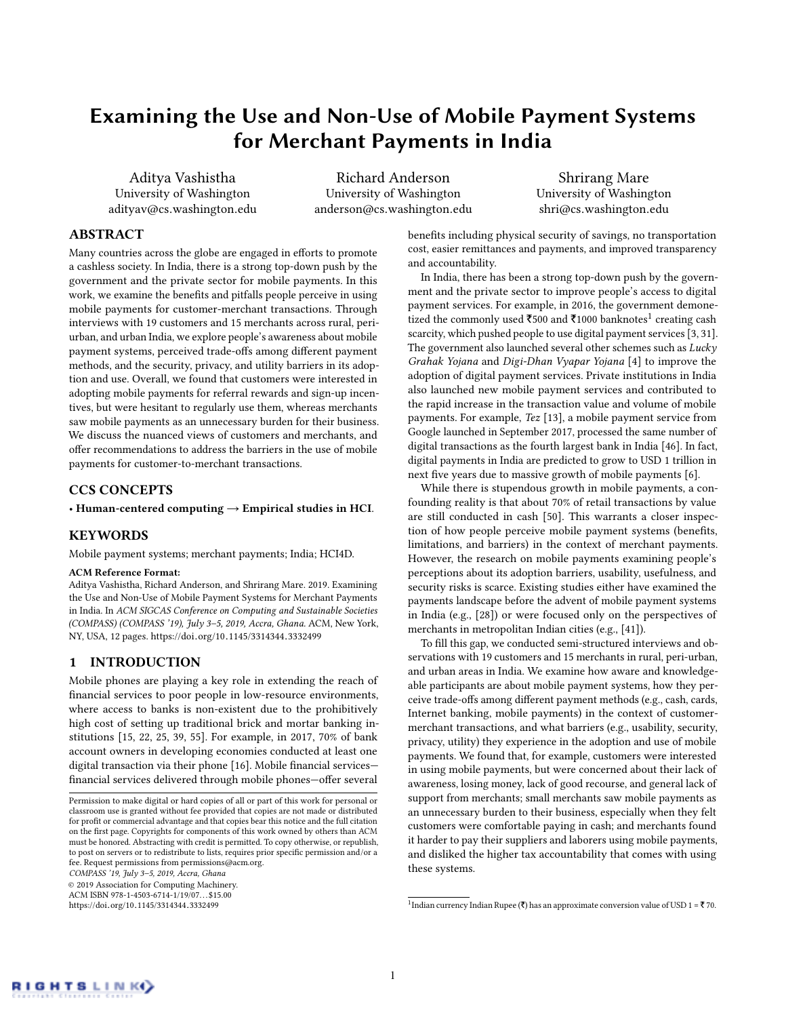# Examining the Use and Non-Use of Mobile Payment Systems for Merchant Payments in India

Aditya Vashistha University of Washington adityav@cs.washington.edu

Richard Anderson University of Washington anderson@cs.washington.edu

Shrirang Mare University of Washington shri@cs.washington.edu

# ABSTRACT

Many countries across the globe are engaged in efforts to promote a cashless society. In India, there is a strong top-down push by the government and the private sector for mobile payments. In this work, we examine the benefits and pitfalls people perceive in using mobile payments for customer-merchant transactions. Through interviews with 19 customers and 15 merchants across rural, periurban, and urban India, we explore people's awareness about mobile payment systems, perceived trade-offs among different payment methods, and the security, privacy, and utility barriers in its adoption and use. Overall, we found that customers were interested in adopting mobile payments for referral rewards and sign-up incentives, but were hesitant to regularly use them, whereas merchants saw mobile payments as an unnecessary burden for their business. We discuss the nuanced views of customers and merchants, and offer recommendations to address the barriers in the use of mobile payments for customer-to-merchant transactions.

# CCS CONCEPTS

• Human-centered computing  $\rightarrow$  Empirical studies in HCI.

# KEYWORDS

Mobile payment systems; merchant payments; India; HCI4D.

#### ACM Reference Format:

Aditya Vashistha, Richard Anderson, and Shrirang Mare. 2019. Examining the Use and Non-Use of Mobile Payment Systems for Merchant Payments in India. In ACM SIGCAS Conference on Computing and Sustainable Societies (COMPASS) (COMPASS '19), July 3–5, 2019, Accra, Ghana. ACM, New York, NY, USA, [12](#page-11-0) pages. https://doi.org/10.[1145/3314344](https://doi.org/10.1145/3314344.3332499).<sup>3332499</sup>

# 1 INTRODUCTION

Mobile phones are playing a key role in extending the reach of financial services to poor people in low-resource environments, where access to banks is non-existent due to the prohibitively high cost of setting up traditional brick and mortar banking institutions [\[15,](#page-10-0) [22,](#page-10-1) [25,](#page-10-2) [39,](#page-10-3) [55\]](#page-11-1). For example, in 2017, 70% of bank account owners in developing economies conducted at least one digital transaction via their phone [\[16\]](#page-10-4). Mobile financial services financial services delivered through mobile phones—offer several

COMPASS '19, July 3–5, 2019, Accra, Ghana

© 2019 Association for Computing Machinery.

ACM ISBN 978-1-4503-6714-1/19/07. . . \$15.00 https://doi.org/10.[1145/3314344](https://doi.org/10.1145/3314344.3332499).<sup>3332499</sup>

benefits including physical security of savings, no transportation cost, easier remittances and payments, and improved transparency and accountability.

In India, there has been a strong top-down push by the government and the private sector to improve people's access to digital payment services. For example, in 2016, the government demonetized the commonly used  $\bar{x}$ 500 and  $\bar{x}$ [1](#page-0-0)000 banknotes<sup>1</sup> creating cash scarcity, which pushed people to use digital payment services [\[3,](#page-9-0) [31\]](#page-10-5). The government also launched several other schemes such as Lucky Grahak Yojana and Digi-Dhan Vyapar Yojana [\[4\]](#page-9-1) to improve the adoption of digital payment services. Private institutions in India also launched new mobile payment services and contributed to the rapid increase in the transaction value and volume of mobile payments. For example, Tez [\[13\]](#page-10-6), a mobile payment service from Google launched in September 2017, processed the same number of digital transactions as the fourth largest bank in India [\[46\]](#page-10-7). In fact, digital payments in India are predicted to grow to USD 1 trillion in next five years due to massive growth of mobile payments [\[6\]](#page-10-8).

While there is stupendous growth in mobile payments, a confounding reality is that about 70% of retail transactions by value are still conducted in cash [\[50\]](#page-10-9). This warrants a closer inspection of how people perceive mobile payment systems (benefits, limitations, and barriers) in the context of merchant payments. However, the research on mobile payments examining people's perceptions about its adoption barriers, usability, usefulness, and security risks is scarce. Existing studies either have examined the payments landscape before the advent of mobile payment systems in India (e.g., [\[28\]](#page-10-10)) or were focused only on the perspectives of merchants in metropolitan Indian cities (e.g., [\[41\]](#page-10-11)).

To fill this gap, we conducted semi-structured interviews and observations with 19 customers and 15 merchants in rural, peri-urban, and urban areas in India. We examine how aware and knowledgeable participants are about mobile payment systems, how they perceive trade-offs among different payment methods (e.g., cash, cards, Internet banking, mobile payments) in the context of customermerchant transactions, and what barriers (e.g., usability, security, privacy, utility) they experience in the adoption and use of mobile payments. We found that, for example, customers were interested in using mobile payments, but were concerned about their lack of awareness, losing money, lack of good recourse, and general lack of support from merchants; small merchants saw mobile payments as an unnecessary burden to their business, especially when they felt customers were comfortable paying in cash; and merchants found it harder to pay their suppliers and laborers using mobile payments, and disliked the higher tax accountability that comes with using these systems.

Permission to make digital or hard copies of all or part of this work for personal or classroom use is granted without fee provided that copies are not made or distributed for profit or commercial advantage and that copies bear this notice and the full citation on the first page. Copyrights for components of this work owned by others than ACM must be honored. Abstracting with credit is permitted. To copy otherwise, or republish, to post on servers or to redistribute to lists, requires prior specific permission and/or a fee. Request permissions from permissions@acm.org.

<span id="page-0-0"></span><sup>&</sup>lt;sup>1</sup> Indian currency Indian Rupee (₹) has an approximate conversion value of USD 1 = ₹70.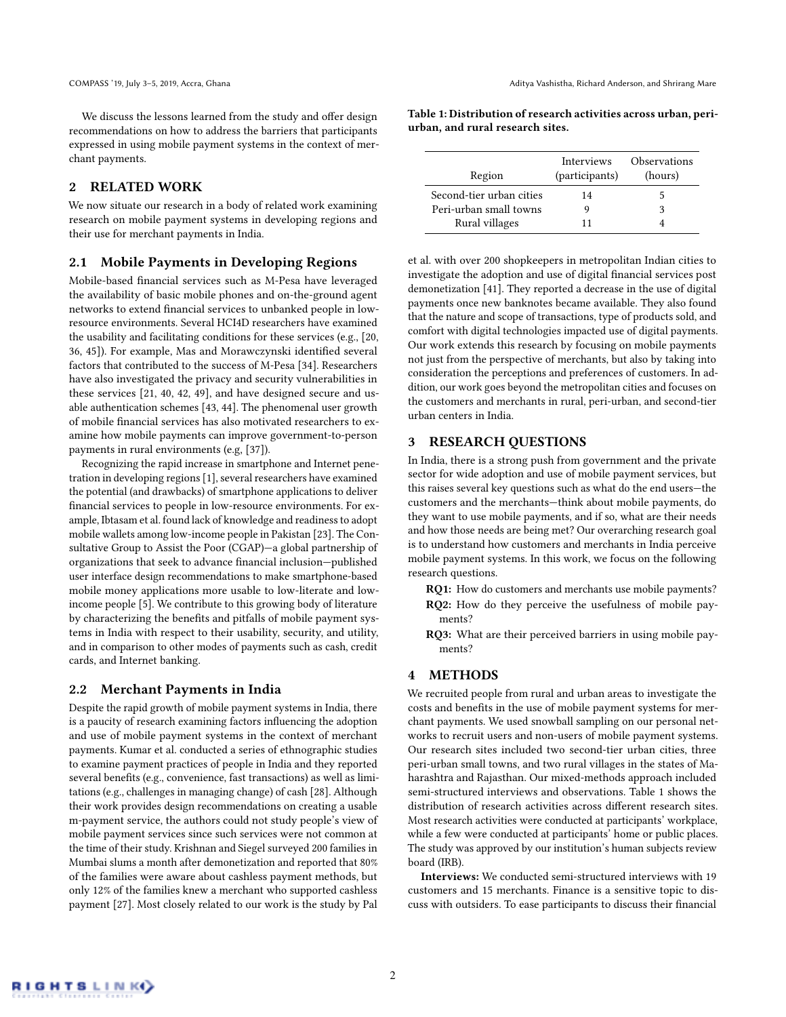We discuss the lessons learned from the study and offer design recommendations on how to address the barriers that participants expressed in using mobile payment systems in the context of merchant payments.

# 2 RELATED WORK

We now situate our research in a body of related work examining research on mobile payment systems in developing regions and their use for merchant payments in India.

# 2.1 Mobile Payments in Developing Regions

Mobile-based financial services such as M-Pesa have leveraged the availability of basic mobile phones and on-the-ground agent networks to extend financial services to unbanked people in lowresource environments. Several HCI4D researchers have examined the usability and facilitating conditions for these services (e.g., [\[20,](#page-10-12) [36,](#page-10-13) [45\]](#page-10-14)). For example, Mas and Morawczynski identified several factors that contributed to the success of M-Pesa [\[34\]](#page-10-15). Researchers have also investigated the privacy and security vulnerabilities in these services [\[21,](#page-10-16) [40,](#page-10-17) [42,](#page-10-18) [49\]](#page-10-19), and have designed secure and usable authentication schemes [\[43,](#page-10-20) [44\]](#page-10-21). The phenomenal user growth of mobile financial services has also motivated researchers to examine how mobile payments can improve government-to-person payments in rural environments (e.g, [\[37\]](#page-10-22)).

Recognizing the rapid increase in smartphone and Internet penetration in developing regions [\[1\]](#page-9-2), several researchers have examined the potential (and drawbacks) of smartphone applications to deliver financial services to people in low-resource environments. For example, Ibtasam et al. found lack of knowledge and readiness to adopt mobile wallets among low-income people in Pakistan [\[23\]](#page-10-23). The Consultative Group to Assist the Poor (CGAP)—a global partnership of organizations that seek to advance financial inclusion—published user interface design recommendations to make smartphone-based mobile money applications more usable to low-literate and lowincome people [\[5\]](#page-10-24). We contribute to this growing body of literature by characterizing the benefits and pitfalls of mobile payment systems in India with respect to their usability, security, and utility, and in comparison to other modes of payments such as cash, credit cards, and Internet banking.

# 2.2 Merchant Payments in India

Despite the rapid growth of mobile payment systems in India, there is a paucity of research examining factors influencing the adoption and use of mobile payment systems in the context of merchant payments. Kumar et al. conducted a series of ethnographic studies to examine payment practices of people in India and they reported several benefits (e.g., convenience, fast transactions) as well as limitations (e.g., challenges in managing change) of cash [\[28\]](#page-10-10). Although their work provides design recommendations on creating a usable m-payment service, the authors could not study people's view of mobile payment services since such services were not common at the time of their study. Krishnan and Siegel surveyed 200 families in Mumbai slums a month after demonetization and reported that 80% of the families were aware about cashless payment methods, but only 12% of the families knew a merchant who supported cashless payment [\[27\]](#page-10-25). Most closely related to our work is the study by Pal

<span id="page-1-0"></span>Table 1: Distribution of research activities across urban, periurban, and rural research sites.

| Region                   | Interviews<br>(participants) | <b>Observations</b><br>(hours) |
|--------------------------|------------------------------|--------------------------------|
| Second-tier urban cities | 14                           |                                |
| Peri-urban small towns   |                              |                                |
| Rural villages           | 11                           |                                |

et al. with over 200 shopkeepers in metropolitan Indian cities to investigate the adoption and use of digital financial services post demonetization [\[41\]](#page-10-11). They reported a decrease in the use of digital payments once new banknotes became available. They also found that the nature and scope of transactions, type of products sold, and comfort with digital technologies impacted use of digital payments. Our work extends this research by focusing on mobile payments not just from the perspective of merchants, but also by taking into consideration the perceptions and preferences of customers. In addition, our work goes beyond the metropolitan cities and focuses on the customers and merchants in rural, peri-urban, and second-tier urban centers in India.

# 3 RESEARCH QUESTIONS

In India, there is a strong push from government and the private sector for wide adoption and use of mobile payment services, but this raises several key questions such as what do the end users—the customers and the merchants—think about mobile payments, do they want to use mobile payments, and if so, what are their needs and how those needs are being met? Our overarching research goal is to understand how customers and merchants in India perceive mobile payment systems. In this work, we focus on the following research questions.

- RQ1: How do customers and merchants use mobile payments? RQ2: How do they perceive the usefulness of mobile payments?
- RQ3: What are their perceived barriers in using mobile payments?

# 4 METHODS

We recruited people from rural and urban areas to investigate the costs and benefits in the use of mobile payment systems for merchant payments. We used snowball sampling on our personal networks to recruit users and non-users of mobile payment systems. Our research sites included two second-tier urban cities, three peri-urban small towns, and two rural villages in the states of Maharashtra and Rajasthan. Our mixed-methods approach included semi-structured interviews and observations. Table [1](#page-1-0) shows the distribution of research activities across different research sites. Most research activities were conducted at participants' workplace, while a few were conducted at participants' home or public places. The study was approved by our institution's human subjects review board (IRB).

Interviews: We conducted semi-structured interviews with 19 customers and 15 merchants. Finance is a sensitive topic to discuss with outsiders. To ease participants to discuss their financial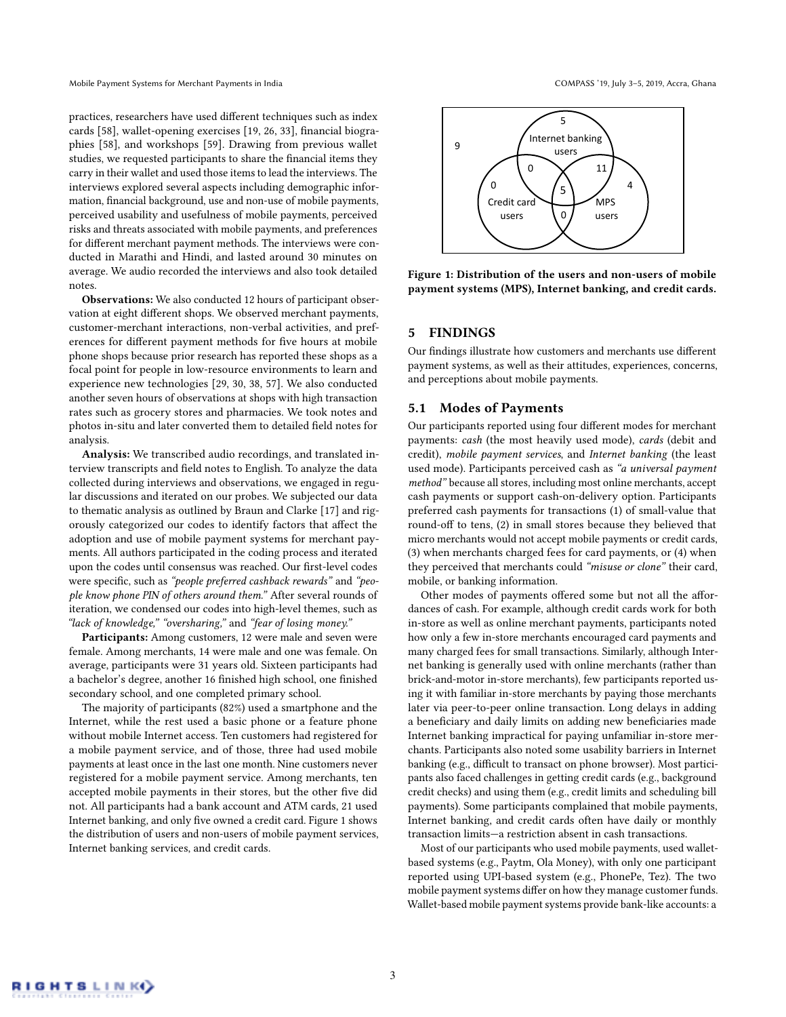practices, researchers have used different techniques such as index cards [\[58\]](#page-11-2), wallet-opening exercises [\[19,](#page-10-26) [26,](#page-10-27) [33\]](#page-10-28), financial biographies [\[58\]](#page-11-2), and workshops [\[59\]](#page-11-3). Drawing from previous wallet studies, we requested participants to share the financial items they carry in their wallet and used those items to lead the interviews. The interviews explored several aspects including demographic information, financial background, use and non-use of mobile payments, perceived usability and usefulness of mobile payments, perceived risks and threats associated with mobile payments, and preferences for different merchant payment methods. The interviews were conducted in Marathi and Hindi, and lasted around 30 minutes on average. We audio recorded the interviews and also took detailed notes.

Observations: We also conducted 12 hours of participant observation at eight different shops. We observed merchant payments, customer-merchant interactions, non-verbal activities, and preferences for different payment methods for five hours at mobile phone shops because prior research has reported these shops as a focal point for people in low-resource environments to learn and experience new technologies [\[29,](#page-10-29) [30,](#page-10-30) [38,](#page-10-31) [57\]](#page-11-4). We also conducted another seven hours of observations at shops with high transaction rates such as grocery stores and pharmacies. We took notes and photos in-situ and later converted them to detailed field notes for analysis.

Analysis: We transcribed audio recordings, and translated interview transcripts and field notes to English. To analyze the data collected during interviews and observations, we engaged in regular discussions and iterated on our probes. We subjected our data to thematic analysis as outlined by Braun and Clarke [\[17\]](#page-10-32) and rigorously categorized our codes to identify factors that affect the adoption and use of mobile payment systems for merchant payments. All authors participated in the coding process and iterated upon the codes until consensus was reached. Our first-level codes were specific, such as "people preferred cashback rewards" and "people know phone PIN of others around them." After several rounds of iteration, we condensed our codes into high-level themes, such as "lack of knowledge," "oversharing," and "fear of losing money."

Participants: Among customers, 12 were male and seven were female. Among merchants, 14 were male and one was female. On average, participants were 31 years old. Sixteen participants had a bachelor's degree, another 16 finished high school, one finished secondary school, and one completed primary school.

The majority of participants (82%) used a smartphone and the Internet, while the rest used a basic phone or a feature phone without mobile Internet access. Ten customers had registered for a mobile payment service, and of those, three had used mobile payments at least once in the last one month. Nine customers never registered for a mobile payment service. Among merchants, ten accepted mobile payments in their stores, but the other five did not. All participants had a bank account and ATM cards, 21 used Internet banking, and only five owned a credit card. Figure [1](#page-2-0) shows the distribution of users and non-users of mobile payment services, Internet banking services, and credit cards.

<span id="page-2-0"></span>

Figure 1: Distribution of the users and non-users of mobile payment systems (MPS), Internet banking, and credit cards.

# 5 FINDINGS

Our findings illustrate how customers and merchants use different payment systems, as well as their attitudes, experiences, concerns, and perceptions about mobile payments.

# 5.1 Modes of Payments

Our participants reported using four different modes for merchant payments: cash (the most heavily used mode), cards (debit and credit), mobile payment services, and Internet banking (the least used mode). Participants perceived cash as "a universal payment method" because all stores, including most online merchants, accept cash payments or support cash-on-delivery option. Participants preferred cash payments for transactions (1) of small-value that round-off to tens, (2) in small stores because they believed that micro merchants would not accept mobile payments or credit cards, (3) when merchants charged fees for card payments, or (4) when they perceived that merchants could "misuse or clone" their card, mobile, or banking information.

Other modes of payments offered some but not all the affordances of cash. For example, although credit cards work for both in-store as well as online merchant payments, participants noted how only a few in-store merchants encouraged card payments and many charged fees for small transactions. Similarly, although Internet banking is generally used with online merchants (rather than brick-and-motor in-store merchants), few participants reported using it with familiar in-store merchants by paying those merchants later via peer-to-peer online transaction. Long delays in adding a beneficiary and daily limits on adding new beneficiaries made Internet banking impractical for paying unfamiliar in-store merchants. Participants also noted some usability barriers in Internet banking (e.g., difficult to transact on phone browser). Most participants also faced challenges in getting credit cards (e.g., background credit checks) and using them (e.g., credit limits and scheduling bill payments). Some participants complained that mobile payments, Internet banking, and credit cards often have daily or monthly transaction limits—a restriction absent in cash transactions.

Most of our participants who used mobile payments, used walletbased systems (e.g., Paytm, Ola Money), with only one participant reported using UPI-based system (e.g., PhonePe, Tez). The two mobile payment systems differ on how they manage customer funds. Wallet-based mobile payment systems provide bank-like accounts: a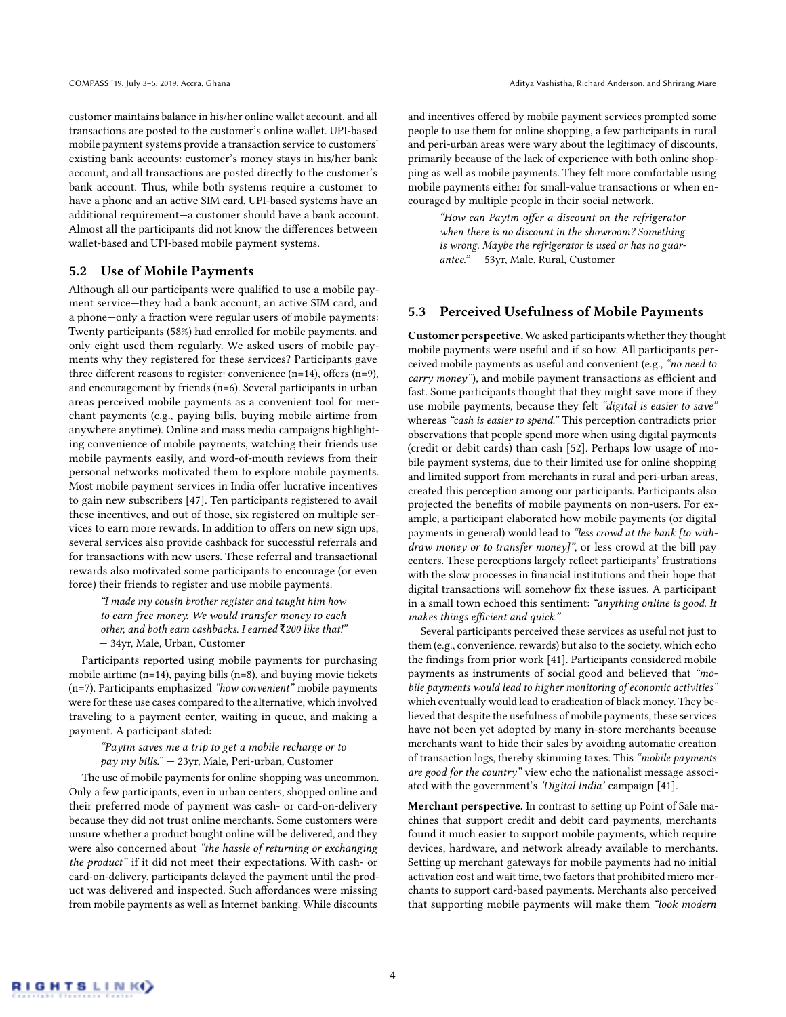customer maintains balance in his/her online wallet account, and all transactions are posted to the customer's online wallet. UPI-based mobile payment systems provide a transaction service to customers' existing bank accounts: customer's money stays in his/her bank account, and all transactions are posted directly to the customer's bank account. Thus, while both systems require a customer to have a phone and an active SIM card, UPI-based systems have an additional requirement—a customer should have a bank account. Almost all the participants did not know the differences between wallet-based and UPI-based mobile payment systems.

# 5.2 Use of Mobile Payments

Although all our participants were qualified to use a mobile payment service—they had a bank account, an active SIM card, and a phone—only a fraction were regular users of mobile payments: Twenty participants (58%) had enrolled for mobile payments, and only eight used them regularly. We asked users of mobile payments why they registered for these services? Participants gave three different reasons to register: convenience (n=14), offers (n=9), and encouragement by friends (n=6). Several participants in urban areas perceived mobile payments as a convenient tool for merchant payments (e.g., paying bills, buying mobile airtime from anywhere anytime). Online and mass media campaigns highlighting convenience of mobile payments, watching their friends use mobile payments easily, and word-of-mouth reviews from their personal networks motivated them to explore mobile payments. Most mobile payment services in India offer lucrative incentives to gain new subscribers [\[47\]](#page-10-33). Ten participants registered to avail these incentives, and out of those, six registered on multiple services to earn more rewards. In addition to offers on new sign ups, several services also provide cashback for successful referrals and for transactions with new users. These referral and transactional rewards also motivated some participants to encourage (or even force) their friends to register and use mobile payments.

"I made my cousin brother register and taught him how to earn free money. We would transfer money to each other, and both earn cashbacks. I earned  $\bar{\mathfrak{Z}}$ 200 like that!" — 34yr, Male, Urban, Customer

Participants reported using mobile payments for purchasing mobile airtime  $(n=14)$ , paying bills  $(n=8)$ , and buying movie tickets (n=7). Participants emphasized "how convenient" mobile payments were for these use cases compared to the alternative, which involved traveling to a payment center, waiting in queue, and making a payment. A participant stated:

# "Paytm saves me a trip to get a mobile recharge or to pay my bills." — 23yr, Male, Peri-urban, Customer

The use of mobile payments for online shopping was uncommon. Only a few participants, even in urban centers, shopped online and their preferred mode of payment was cash- or card-on-delivery because they did not trust online merchants. Some customers were unsure whether a product bought online will be delivered, and they were also concerned about "the hassle of returning or exchanging the product" if it did not meet their expectations. With cash- or card-on-delivery, participants delayed the payment until the product was delivered and inspected. Such affordances were missing from mobile payments as well as Internet banking. While discounts

and incentives offered by mobile payment services prompted some people to use them for online shopping, a few participants in rural and peri-urban areas were wary about the legitimacy of discounts, primarily because of the lack of experience with both online shopping as well as mobile payments. They felt more comfortable using mobile payments either for small-value transactions or when encouraged by multiple people in their social network.

> "How can Paytm offer a discount on the refrigerator when there is no discount in the showroom? Something is wrong. Maybe the refrigerator is used or has no guarantee." — 53yr, Male, Rural, Customer

#### 5.3 Perceived Usefulness of Mobile Payments

Customer perspective. We asked participants whether they thought mobile payments were useful and if so how. All participants perceived mobile payments as useful and convenient (e.g., "no need to carry money"), and mobile payment transactions as efficient and fast. Some participants thought that they might save more if they use mobile payments, because they felt "digital is easier to save" whereas "cash is easier to spend." This perception contradicts prior observations that people spend more when using digital payments (credit or debit cards) than cash [\[52\]](#page-11-5). Perhaps low usage of mobile payment systems, due to their limited use for online shopping and limited support from merchants in rural and peri-urban areas, created this perception among our participants. Participants also projected the benefits of mobile payments on non-users. For example, a participant elaborated how mobile payments (or digital payments in general) would lead to "less crowd at the bank [to withdraw money or to transfer money]", or less crowd at the bill pay centers. These perceptions largely reflect participants' frustrations with the slow processes in financial institutions and their hope that digital transactions will somehow fix these issues. A participant in a small town echoed this sentiment: "anything online is good. It makes things efficient and quick."

Several participants perceived these services as useful not just to them (e.g., convenience, rewards) but also to the society, which echo the findings from prior work [\[41\]](#page-10-11). Participants considered mobile payments as instruments of social good and believed that "mobile payments would lead to higher monitoring of economic activities" which eventually would lead to eradication of black money. They believed that despite the usefulness of mobile payments, these services have not been yet adopted by many in-store merchants because merchants want to hide their sales by avoiding automatic creation of transaction logs, thereby skimming taxes. This "mobile payments are good for the country" view echo the nationalist message associated with the government's 'Digital India' campaign [\[41\]](#page-10-11).

Merchant perspective. In contrast to setting up Point of Sale machines that support credit and debit card payments, merchants found it much easier to support mobile payments, which require devices, hardware, and network already available to merchants. Setting up merchant gateways for mobile payments had no initial activation cost and wait time, two factors that prohibited micro merchants to support card-based payments. Merchants also perceived that supporting mobile payments will make them "look modern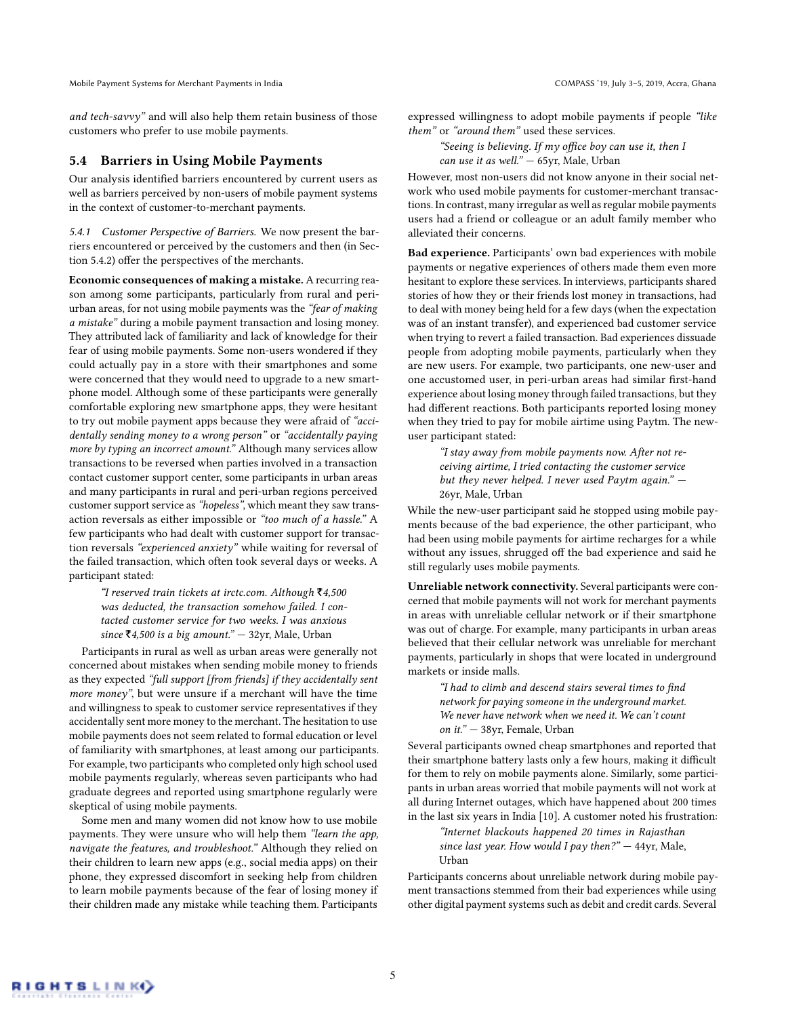and tech-savvy" and will also help them retain business of those customers who prefer to use mobile payments.

#### 5.4 Barriers in Using Mobile Payments

Our analysis identified barriers encountered by current users as well as barriers perceived by non-users of mobile payment systems in the context of customer-to-merchant payments.

5.4.1 Customer Perspective of Barriers. We now present the barriers encountered or perceived by the customers and then (in Section [5.4.2\)](#page-6-0) offer the perspectives of the merchants.

Economic consequences of making a mistake. A recurring reason among some participants, particularly from rural and periurban areas, for not using mobile payments was the "fear of making a mistake" during a mobile payment transaction and losing money. They attributed lack of familiarity and lack of knowledge for their fear of using mobile payments. Some non-users wondered if they could actually pay in a store with their smartphones and some were concerned that they would need to upgrade to a new smartphone model. Although some of these participants were generally comfortable exploring new smartphone apps, they were hesitant to try out mobile payment apps because they were afraid of "accidentally sending money to a wrong person" or "accidentally paying more by typing an incorrect amount." Although many services allow transactions to be reversed when parties involved in a transaction contact customer support center, some participants in urban areas and many participants in rural and peri-urban regions perceived customer support service as "hopeless", which meant they saw transaction reversals as either impossible or "too much of a hassle." A few participants who had dealt with customer support for transaction reversals "experienced anxiety" while waiting for reversal of the failed transaction, which often took several days or weeks. A participant stated:

"I reserved train tickets at irctc.com. Although  $\bar{z}$ 4,500 was deducted, the transaction somehow failed. I contacted customer service for two weeks. I was anxious since  $\bar{z}$ 4,500 is a big amount." - 32yr, Male, Urban

Participants in rural as well as urban areas were generally not concerned about mistakes when sending mobile money to friends as they expected "full support [from friends] if they accidentally sent more money", but were unsure if a merchant will have the time and willingness to speak to customer service representatives if they accidentally sent more money to the merchant. The hesitation to use mobile payments does not seem related to formal education or level of familiarity with smartphones, at least among our participants. For example, two participants who completed only high school used mobile payments regularly, whereas seven participants who had graduate degrees and reported using smartphone regularly were skeptical of using mobile payments.

Some men and many women did not know how to use mobile payments. They were unsure who will help them "learn the app, navigate the features, and troubleshoot." Although they relied on their children to learn new apps (e.g., social media apps) on their phone, they expressed discomfort in seeking help from children to learn mobile payments because of the fear of losing money if their children made any mistake while teaching them. Participants

expressed willingness to adopt mobile payments if people "like them" or "around them" used these services.

> "Seeing is believing. If my office boy can use it, then I can use it as well." — 65yr, Male, Urban

However, most non-users did not know anyone in their social network who used mobile payments for customer-merchant transactions. In contrast, many irregular as well as regular mobile payments users had a friend or colleague or an adult family member who alleviated their concerns.

Bad experience. Participants' own bad experiences with mobile payments or negative experiences of others made them even more hesitant to explore these services. In interviews, participants shared stories of how they or their friends lost money in transactions, had to deal with money being held for a few days (when the expectation was of an instant transfer), and experienced bad customer service when trying to revert a failed transaction. Bad experiences dissuade people from adopting mobile payments, particularly when they are new users. For example, two participants, one new-user and one accustomed user, in peri-urban areas had similar first-hand experience about losing money through failed transactions, but they had different reactions. Both participants reported losing money when they tried to pay for mobile airtime using Paytm. The newuser participant stated:

> "I stay away from mobile payments now. After not receiving airtime, I tried contacting the customer service but they never helped. I never used Paytm again." — 26yr, Male, Urban

While the new-user participant said he stopped using mobile payments because of the bad experience, the other participant, who had been using mobile payments for airtime recharges for a while without any issues, shrugged off the bad experience and said he still regularly uses mobile payments.

Unreliable network connectivity. Several participants were concerned that mobile payments will not work for merchant payments in areas with unreliable cellular network or if their smartphone was out of charge. For example, many participants in urban areas believed that their cellular network was unreliable for merchant payments, particularly in shops that were located in underground markets or inside malls.

> "I had to climb and descend stairs several times to find network for paying someone in the underground market. We never have network when we need it. We can't count on it." — 38yr, Female, Urban

Several participants owned cheap smartphones and reported that their smartphone battery lasts only a few hours, making it difficult for them to rely on mobile payments alone. Similarly, some participants in urban areas worried that mobile payments will not work at all during Internet outages, which have happened about 200 times in the last six years in India [\[10\]](#page-10-34). A customer noted his frustration:

"Internet blackouts happened 20 times in Rajasthan since last year. How would I pay then?"  $-$  44yr, Male, Urban

Participants concerns about unreliable network during mobile payment transactions stemmed from their bad experiences while using other digital payment systems such as debit and credit cards. Several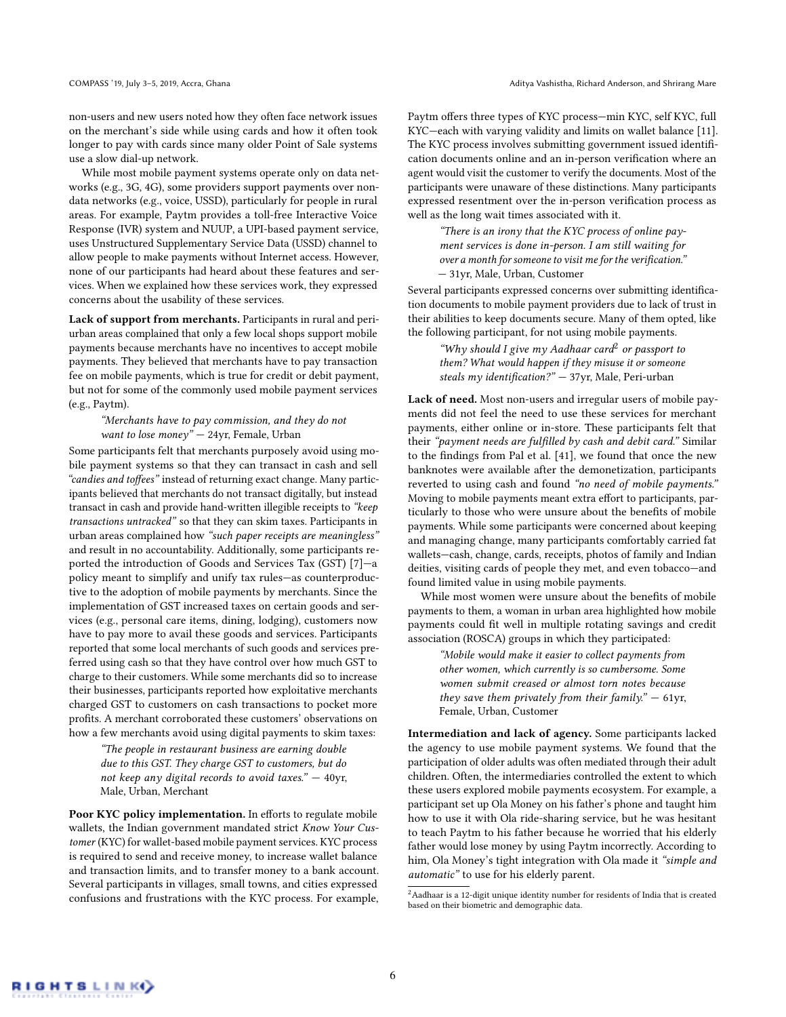non-users and new users noted how they often face network issues on the merchant's side while using cards and how it often took longer to pay with cards since many older Point of Sale systems use a slow dial-up network.

While most mobile payment systems operate only on data networks (e.g., 3G, 4G), some providers support payments over nondata networks (e.g., voice, USSD), particularly for people in rural areas. For example, Paytm provides a toll-free Interactive Voice Response (IVR) system and NUUP, a UPI-based payment service, uses Unstructured Supplementary Service Data (USSD) channel to allow people to make payments without Internet access. However, none of our participants had heard about these features and services. When we explained how these services work, they expressed concerns about the usability of these services.

Lack of support from merchants. Participants in rural and periurban areas complained that only a few local shops support mobile payments because merchants have no incentives to accept mobile payments. They believed that merchants have to pay transaction fee on mobile payments, which is true for credit or debit payment, but not for some of the commonly used mobile payment services (e.g., Paytm).

#### "Merchants have to pay commission, and they do not want to lose money" - 24yr, Female, Urban

Some participants felt that merchants purposely avoid using mobile payment systems so that they can transact in cash and sell "candies and toffees" instead of returning exact change. Many participants believed that merchants do not transact digitally, but instead transact in cash and provide hand-written illegible receipts to "keep transactions untracked" so that they can skim taxes. Participants in urban areas complained how "such paper receipts are meaningless" and result in no accountability. Additionally, some participants reported the introduction of Goods and Services Tax (GST) [\[7\]](#page-10-35)—a policy meant to simplify and unify tax rules—as counterproductive to the adoption of mobile payments by merchants. Since the implementation of GST increased taxes on certain goods and services (e.g., personal care items, dining, lodging), customers now have to pay more to avail these goods and services. Participants reported that some local merchants of such goods and services preferred using cash so that they have control over how much GST to charge to their customers. While some merchants did so to increase their businesses, participants reported how exploitative merchants charged GST to customers on cash transactions to pocket more profits. A merchant corroborated these customers' observations on how a few merchants avoid using digital payments to skim taxes:

"The people in restaurant business are earning double due to this GST. They charge GST to customers, but do not keep any digital records to avoid taxes." — 40yr, Male, Urban, Merchant

Poor KYC policy implementation. In efforts to regulate mobile wallets, the Indian government mandated strict Know Your Customer (KYC) for wallet-based mobile payment services. KYC process is required to send and receive money, to increase wallet balance and transaction limits, and to transfer money to a bank account. Several participants in villages, small towns, and cities expressed confusions and frustrations with the KYC process. For example,

Paytm offers three types of KYC process—min KYC, self KYC, full KYC—each with varying validity and limits on wallet balance [\[11\]](#page-10-36). The KYC process involves submitting government issued identification documents online and an in-person verification where an agent would visit the customer to verify the documents. Most of the participants were unaware of these distinctions. Many participants expressed resentment over the in-person verification process as well as the long wait times associated with it.

> "There is an irony that the KYC process of online payment services is done in-person. I am still waiting for over a month for someone to visit me for the verification." — 31yr, Male, Urban, Customer

Several participants expressed concerns over submitting identification documents to mobile payment providers due to lack of trust in their abilities to keep documents secure. Many of them opted, like the following participant, for not using mobile payments.

> "Why should I give my Aadhaar card<sup>[2](#page-5-0)</sup> or passport to them? What would happen if they misuse it or someone steals  $m\gamma$  identification?"  $-$  37yr, Male, Peri-urban

Lack of need. Most non-users and irregular users of mobile payments did not feel the need to use these services for merchant payments, either online or in-store. These participants felt that their "payment needs are fulfilled by cash and debit card." Similar to the findings from Pal et al. [\[41\]](#page-10-11), we found that once the new banknotes were available after the demonetization, participants reverted to using cash and found "no need of mobile payments." Moving to mobile payments meant extra effort to participants, particularly to those who were unsure about the benefits of mobile payments. While some participants were concerned about keeping and managing change, many participants comfortably carried fat wallets—cash, change, cards, receipts, photos of family and Indian deities, visiting cards of people they met, and even tobacco—and found limited value in using mobile payments.

While most women were unsure about the benefits of mobile payments to them, a woman in urban area highlighted how mobile payments could fit well in multiple rotating savings and credit association (ROSCA) groups in which they participated:

> "Mobile would make it easier to collect payments from other women, which currently is so cumbersome. Some women submit creased or almost torn notes because they save them privately from their family."  $-61$ yr, Female, Urban, Customer

Intermediation and lack of agency. Some participants lacked the agency to use mobile payment systems. We found that the participation of older adults was often mediated through their adult children. Often, the intermediaries controlled the extent to which these users explored mobile payments ecosystem. For example, a participant set up Ola Money on his father's phone and taught him how to use it with Ola ride-sharing service, but he was hesitant to teach Paytm to his father because he worried that his elderly father would lose money by using Paytm incorrectly. According to him, Ola Money's tight integration with Ola made it "simple and automatic" to use for his elderly parent.

<span id="page-5-0"></span> $2$ Aadhaar is a 12-digit unique identity number for residents of India that is created based on their biometric and demographic data.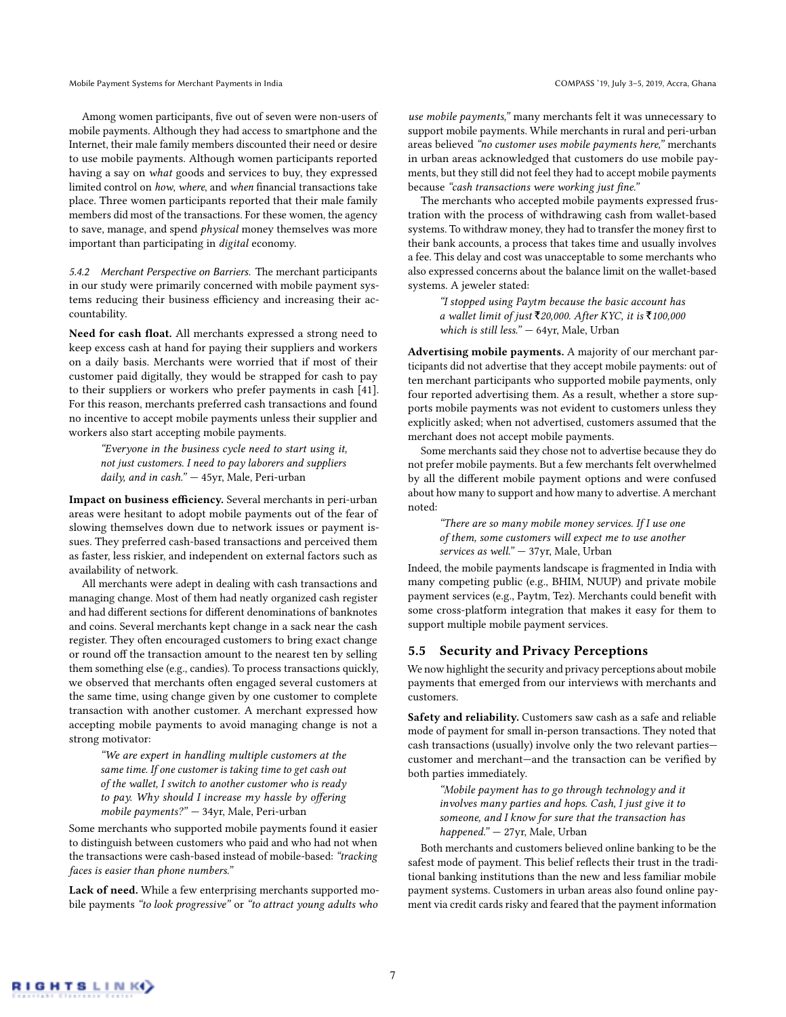Among women participants, five out of seven were non-users of mobile payments. Although they had access to smartphone and the Internet, their male family members discounted their need or desire to use mobile payments. Although women participants reported having a say on what goods and services to buy, they expressed limited control on how, where, and when financial transactions take place. Three women participants reported that their male family members did most of the transactions. For these women, the agency to save, manage, and spend physical money themselves was more important than participating in digital economy.

<span id="page-6-0"></span>5.4.2 Merchant Perspective on Barriers. The merchant participants in our study were primarily concerned with mobile payment systems reducing their business efficiency and increasing their accountability.

Need for cash float. All merchants expressed a strong need to keep excess cash at hand for paying their suppliers and workers on a daily basis. Merchants were worried that if most of their customer paid digitally, they would be strapped for cash to pay to their suppliers or workers who prefer payments in cash [\[41\]](#page-10-11). For this reason, merchants preferred cash transactions and found no incentive to accept mobile payments unless their supplier and workers also start accepting mobile payments.

"Everyone in the business cycle need to start using it, not just customers. I need to pay laborers and suppliers daily, and in cash." - 45yr, Male, Peri-urban

Impact on business efficiency. Several merchants in peri-urban areas were hesitant to adopt mobile payments out of the fear of slowing themselves down due to network issues or payment issues. They preferred cash-based transactions and perceived them as faster, less riskier, and independent on external factors such as availability of network.

All merchants were adept in dealing with cash transactions and managing change. Most of them had neatly organized cash register and had different sections for different denominations of banknotes and coins. Several merchants kept change in a sack near the cash register. They often encouraged customers to bring exact change or round off the transaction amount to the nearest ten by selling them something else (e.g., candies). To process transactions quickly, we observed that merchants often engaged several customers at the same time, using change given by one customer to complete transaction with another customer. A merchant expressed how accepting mobile payments to avoid managing change is not a strong motivator:

"We are expert in handling multiple customers at the same time. If one customer is taking time to get cash out of the wallet, I switch to another customer who is ready to pay. Why should I increase my hassle by offering mobile payments?" — 34yr, Male, Peri-urban

Some merchants who supported mobile payments found it easier to distinguish between customers who paid and who had not when the transactions were cash-based instead of mobile-based: "tracking faces is easier than phone numbers."

Lack of need. While a few enterprising merchants supported mobile payments "to look progressive" or "to attract young adults who

use mobile payments," many merchants felt it was unnecessary to support mobile payments. While merchants in rural and peri-urban areas believed "no customer uses mobile payments here," merchants in urban areas acknowledged that customers do use mobile payments, but they still did not feel they had to accept mobile payments because "cash transactions were working just fine."

The merchants who accepted mobile payments expressed frustration with the process of withdrawing cash from wallet-based systems. To withdraw money, they had to transfer the money first to their bank accounts, a process that takes time and usually involves a fee. This delay and cost was unacceptable to some merchants who also expressed concerns about the balance limit on the wallet-based systems. A jeweler stated:

> "I stopped using Paytm because the basic account has a wallet limit of just ₹20,000. After KYC, it is ₹100,000 which is still less." - 64yr, Male, Urban

Advertising mobile payments. A majority of our merchant participants did not advertise that they accept mobile payments: out of ten merchant participants who supported mobile payments, only four reported advertising them. As a result, whether a store supports mobile payments was not evident to customers unless they explicitly asked; when not advertised, customers assumed that the merchant does not accept mobile payments.

Some merchants said they chose not to advertise because they do not prefer mobile payments. But a few merchants felt overwhelmed by all the different mobile payment options and were confused about how many to support and how many to advertise. A merchant noted:

> "There are so many mobile money services. If I use one of them, some customers will expect me to use another services as well." — 37yr, Male, Urban

Indeed, the mobile payments landscape is fragmented in India with many competing public (e.g., BHIM, NUUP) and private mobile payment services (e.g., Paytm, Tez). Merchants could benefit with some cross-platform integration that makes it easy for them to support multiple mobile payment services.

# 5.5 Security and Privacy Perceptions

We now highlight the security and privacy perceptions about mobile payments that emerged from our interviews with merchants and customers.

Safety and reliability. Customers saw cash as a safe and reliable mode of payment for small in-person transactions. They noted that cash transactions (usually) involve only the two relevant parties customer and merchant—and the transaction can be verified by both parties immediately.

> "Mobile payment has to go through technology and it involves many parties and hops. Cash, I just give it to someone, and I know for sure that the transaction has happened." — 27yr, Male, Urban

Both merchants and customers believed online banking to be the safest mode of payment. This belief reflects their trust in the traditional banking institutions than the new and less familiar mobile payment systems. Customers in urban areas also found online payment via credit cards risky and feared that the payment information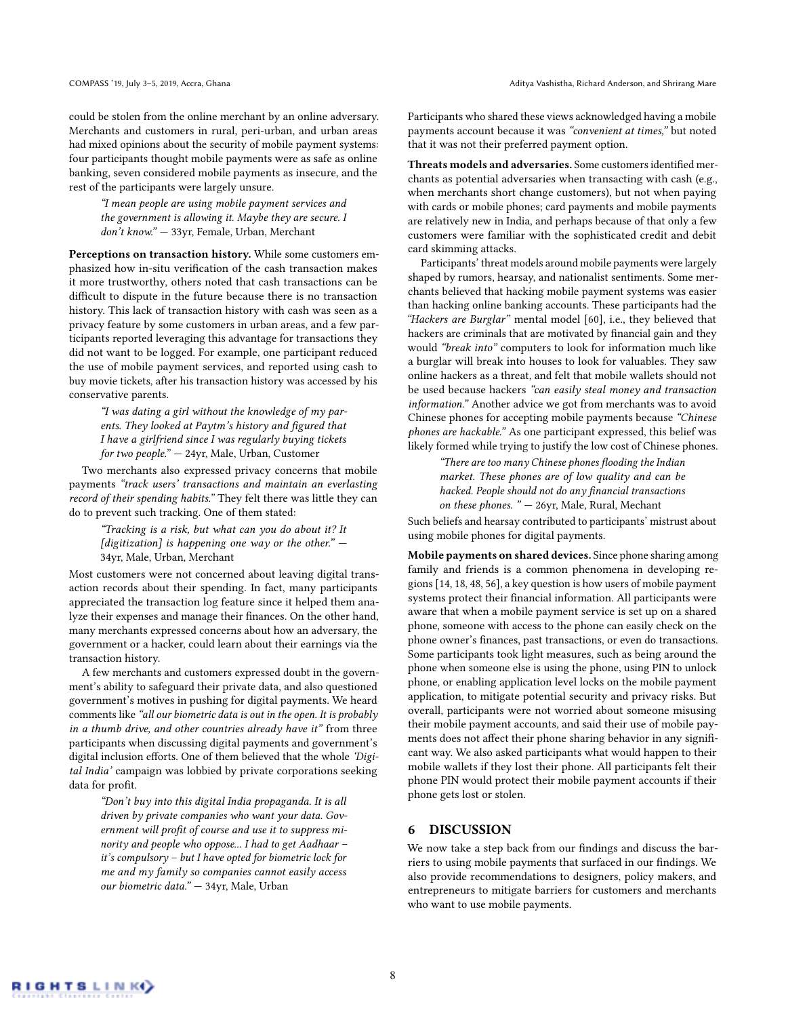COMPASS '19, July 3-5, 2019, Accra, Ghana Aditya Vashistha, Richard Anderson, and Shrirang Mare

could be stolen from the online merchant by an online adversary. Merchants and customers in rural, peri-urban, and urban areas had mixed opinions about the security of mobile payment systems: four participants thought mobile payments were as safe as online banking, seven considered mobile payments as insecure, and the rest of the participants were largely unsure.

"I mean people are using mobile payment services and the government is allowing it. Maybe they are secure. I don't know." — 33yr, Female, Urban, Merchant

Perceptions on transaction history. While some customers emphasized how in-situ verification of the cash transaction makes it more trustworthy, others noted that cash transactions can be difficult to dispute in the future because there is no transaction history. This lack of transaction history with cash was seen as a privacy feature by some customers in urban areas, and a few participants reported leveraging this advantage for transactions they did not want to be logged. For example, one participant reduced the use of mobile payment services, and reported using cash to buy movie tickets, after his transaction history was accessed by his conservative parents.

"I was dating a girl without the knowledge of my parents. They looked at Paytm's history and figured that I have a girlfriend since I was regularly buying tickets for two people." — 24yr, Male, Urban, Customer

Two merchants also expressed privacy concerns that mobile payments "track users' transactions and maintain an everlasting record of their spending habits." They felt there was little they can do to prevent such tracking. One of them stated:

"Tracking is a risk, but what can you do about it? It [digitization] is happening one way or the other."  $-$ 34yr, Male, Urban, Merchant

Most customers were not concerned about leaving digital transaction records about their spending. In fact, many participants appreciated the transaction log feature since it helped them analyze their expenses and manage their finances. On the other hand, many merchants expressed concerns about how an adversary, the government or a hacker, could learn about their earnings via the transaction history.

A few merchants and customers expressed doubt in the government's ability to safeguard their private data, and also questioned government's motives in pushing for digital payments. We heard comments like "all our biometric data is out in the open. It is probably in a thumb drive, and other countries already have it" from three participants when discussing digital payments and government's digital inclusion efforts. One of them believed that the whole 'Digital India' campaign was lobbied by private corporations seeking data for profit.

"Don't buy into this digital India propaganda. It is all driven by private companies who want your data. Government will profit of course and use it to suppress minority and people who oppose... I had to get Aadhaar  $$ it's compulsory – but I have opted for biometric lock for me and my family so companies cannot easily access our biometric data." — 34yr, Male, Urban

Participants who shared these views acknowledged having a mobile payments account because it was "convenient at times," but noted that it was not their preferred payment option.

Threats models and adversaries. Some customers identified merchants as potential adversaries when transacting with cash (e.g., when merchants short change customers), but not when paying with cards or mobile phones; card payments and mobile payments are relatively new in India, and perhaps because of that only a few customers were familiar with the sophisticated credit and debit card skimming attacks.

Participants' threat models around mobile payments were largely shaped by rumors, hearsay, and nationalist sentiments. Some merchants believed that hacking mobile payment systems was easier than hacking online banking accounts. These participants had the "Hackers are Burglar" mental model [\[60\]](#page-11-6), i.e., they believed that hackers are criminals that are motivated by financial gain and they would "break into" computers to look for information much like a burglar will break into houses to look for valuables. They saw online hackers as a threat, and felt that mobile wallets should not be used because hackers "can easily steal money and transaction information." Another advice we got from merchants was to avoid Chinese phones for accepting mobile payments because "Chinese phones are hackable." As one participant expressed, this belief was likely formed while trying to justify the low cost of Chinese phones.

> "There are too many Chinese phones flooding the Indian market. These phones are of low quality and can be hacked. People should not do any financial transactions on these phones. " — 26yr, Male, Rural, Mechant

Such beliefs and hearsay contributed to participants' mistrust about using mobile phones for digital payments.

Mobile payments on shared devices. Since phone sharing among family and friends is a common phenomena in developing regions [\[14,](#page-10-37) [18,](#page-10-38) [48,](#page-10-39) [56\]](#page-11-7), a key question is how users of mobile payment systems protect their financial information. All participants were aware that when a mobile payment service is set up on a shared phone, someone with access to the phone can easily check on the phone owner's finances, past transactions, or even do transactions. Some participants took light measures, such as being around the phone when someone else is using the phone, using PIN to unlock phone, or enabling application level locks on the mobile payment application, to mitigate potential security and privacy risks. But overall, participants were not worried about someone misusing their mobile payment accounts, and said their use of mobile payments does not affect their phone sharing behavior in any significant way. We also asked participants what would happen to their mobile wallets if they lost their phone. All participants felt their phone PIN would protect their mobile payment accounts if their phone gets lost or stolen.

# 6 DISCUSSION

We now take a step back from our findings and discuss the barriers to using mobile payments that surfaced in our findings. We also provide recommendations to designers, policy makers, and entrepreneurs to mitigate barriers for customers and merchants who want to use mobile payments.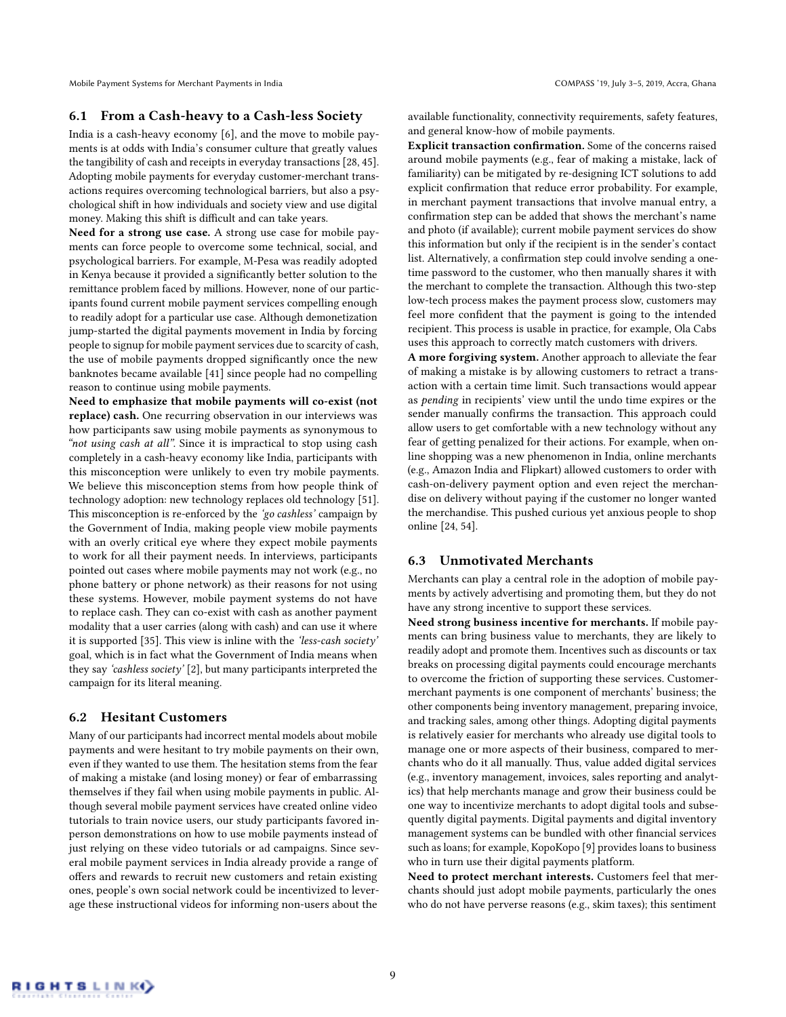Mobile Payment Systems for Merchant Payments in India COMPASS '19, July 3–5, 2019, Accra, Ghana

# 6.1 From a Cash-heavy to a Cash-less Society

India is a cash-heavy economy [\[6\]](#page-10-8), and the move to mobile payments is at odds with India's consumer culture that greatly values the tangibility of cash and receipts in everyday transactions [\[28,](#page-10-10) [45\]](#page-10-14). Adopting mobile payments for everyday customer-merchant transactions requires overcoming technological barriers, but also a psychological shift in how individuals and society view and use digital money. Making this shift is difficult and can take years.

Need for a strong use case. A strong use case for mobile payments can force people to overcome some technical, social, and psychological barriers. For example, M-Pesa was readily adopted in Kenya because it provided a significantly better solution to the remittance problem faced by millions. However, none of our participants found current mobile payment services compelling enough to readily adopt for a particular use case. Although demonetization jump-started the digital payments movement in India by forcing people to signup for mobile payment services due to scarcity of cash, the use of mobile payments dropped significantly once the new banknotes became available [\[41\]](#page-10-11) since people had no compelling reason to continue using mobile payments.

Need to emphasize that mobile payments will co-exist (not replace) cash. One recurring observation in our interviews was how participants saw using mobile payments as synonymous to "not using cash at all". Since it is impractical to stop using cash completely in a cash-heavy economy like India, participants with this misconception were unlikely to even try mobile payments. We believe this misconception stems from how people think of technology adoption: new technology replaces old technology [\[51\]](#page-11-8). This misconception is re-enforced by the 'go cashless' campaign by the Government of India, making people view mobile payments with an overly critical eye where they expect mobile payments to work for all their payment needs. In interviews, participants pointed out cases where mobile payments may not work (e.g., no phone battery or phone network) as their reasons for not using these systems. However, mobile payment systems do not have to replace cash. They can co-exist with cash as another payment modality that a user carries (along with cash) and can use it where it is supported [\[35\]](#page-10-40). This view is inline with the 'less-cash society' goal, which is in fact what the Government of India means when they say 'cashless society' [\[2\]](#page-9-3), but many participants interpreted the campaign for its literal meaning.

#### 6.2 Hesitant Customers

Many of our participants had incorrect mental models about mobile payments and were hesitant to try mobile payments on their own, even if they wanted to use them. The hesitation stems from the fear of making a mistake (and losing money) or fear of embarrassing themselves if they fail when using mobile payments in public. Although several mobile payment services have created online video tutorials to train novice users, our study participants favored inperson demonstrations on how to use mobile payments instead of just relying on these video tutorials or ad campaigns. Since several mobile payment services in India already provide a range of offers and rewards to recruit new customers and retain existing ones, people's own social network could be incentivized to leverage these instructional videos for informing non-users about the

available functionality, connectivity requirements, safety features, and general know-how of mobile payments.

Explicit transaction confirmation. Some of the concerns raised around mobile payments (e.g., fear of making a mistake, lack of familiarity) can be mitigated by re-designing ICT solutions to add explicit confirmation that reduce error probability. For example, in merchant payment transactions that involve manual entry, a confirmation step can be added that shows the merchant's name and photo (if available); current mobile payment services do show this information but only if the recipient is in the sender's contact list. Alternatively, a confirmation step could involve sending a onetime password to the customer, who then manually shares it with the merchant to complete the transaction. Although this two-step low-tech process makes the payment process slow, customers may feel more confident that the payment is going to the intended recipient. This process is usable in practice, for example, Ola Cabs uses this approach to correctly match customers with drivers.

A more forgiving system. Another approach to alleviate the fear of making a mistake is by allowing customers to retract a transaction with a certain time limit. Such transactions would appear as pending in recipients' view until the undo time expires or the sender manually confirms the transaction. This approach could allow users to get comfortable with a new technology without any fear of getting penalized for their actions. For example, when online shopping was a new phenomenon in India, online merchants (e.g., Amazon India and Flipkart) allowed customers to order with cash-on-delivery payment option and even reject the merchandise on delivery without paying if the customer no longer wanted the merchandise. This pushed curious yet anxious people to shop online [\[24,](#page-10-41) [54\]](#page-11-9).

# 6.3 Unmotivated Merchants

Merchants can play a central role in the adoption of mobile payments by actively advertising and promoting them, but they do not have any strong incentive to support these services.

Need strong business incentive for merchants. If mobile payments can bring business value to merchants, they are likely to readily adopt and promote them. Incentives such as discounts or tax breaks on processing digital payments could encourage merchants to overcome the friction of supporting these services. Customermerchant payments is one component of merchants' business; the other components being inventory management, preparing invoice, and tracking sales, among other things. Adopting digital payments is relatively easier for merchants who already use digital tools to manage one or more aspects of their business, compared to merchants who do it all manually. Thus, value added digital services (e.g., inventory management, invoices, sales reporting and analytics) that help merchants manage and grow their business could be one way to incentivize merchants to adopt digital tools and subsequently digital payments. Digital payments and digital inventory management systems can be bundled with other financial services such as loans; for example, KopoKopo [\[9\]](#page-10-42) provides loans to business who in turn use their digital payments platform.

Need to protect merchant interests. Customers feel that merchants should just adopt mobile payments, particularly the ones who do not have perverse reasons (e.g., skim taxes); this sentiment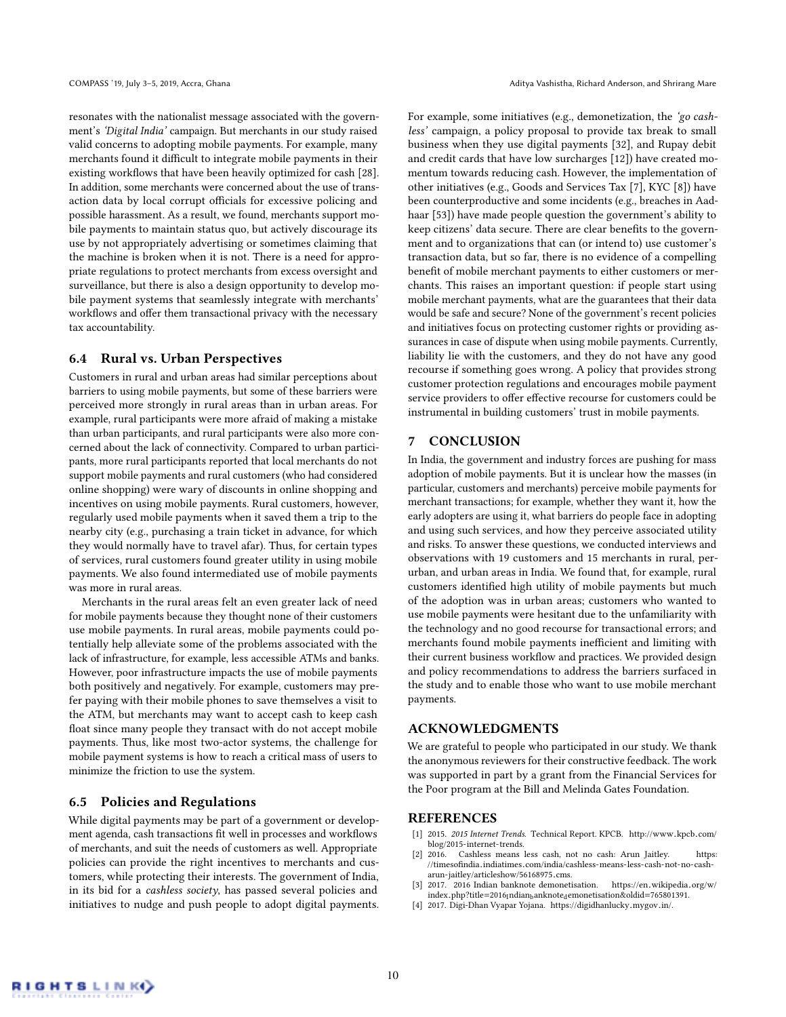resonates with the nationalist message associated with the government's 'Digital India' campaign. But merchants in our study raised valid concerns to adopting mobile payments. For example, many merchants found it difficult to integrate mobile payments in their existing workflows that have been heavily optimized for cash [\[28\]](#page-10-10). In addition, some merchants were concerned about the use of transaction data by local corrupt officials for excessive policing and possible harassment. As a result, we found, merchants support mobile payments to maintain status quo, but actively discourage its use by not appropriately advertising or sometimes claiming that the machine is broken when it is not. There is a need for appropriate regulations to protect merchants from excess oversight and surveillance, but there is also a design opportunity to develop mobile payment systems that seamlessly integrate with merchants' workflows and offer them transactional privacy with the necessary tax accountability.

# 6.4 Rural vs. Urban Perspectives

Customers in rural and urban areas had similar perceptions about barriers to using mobile payments, but some of these barriers were perceived more strongly in rural areas than in urban areas. For example, rural participants were more afraid of making a mistake than urban participants, and rural participants were also more concerned about the lack of connectivity. Compared to urban participants, more rural participants reported that local merchants do not support mobile payments and rural customers (who had considered online shopping) were wary of discounts in online shopping and incentives on using mobile payments. Rural customers, however, regularly used mobile payments when it saved them a trip to the nearby city (e.g., purchasing a train ticket in advance, for which they would normally have to travel afar). Thus, for certain types of services, rural customers found greater utility in using mobile payments. We also found intermediated use of mobile payments was more in rural areas.

Merchants in the rural areas felt an even greater lack of need for mobile payments because they thought none of their customers use mobile payments. In rural areas, mobile payments could potentially help alleviate some of the problems associated with the lack of infrastructure, for example, less accessible ATMs and banks. However, poor infrastructure impacts the use of mobile payments both positively and negatively. For example, customers may prefer paying with their mobile phones to save themselves a visit to the ATM, but merchants may want to accept cash to keep cash float since many people they transact with do not accept mobile payments. Thus, like most two-actor systems, the challenge for mobile payment systems is how to reach a critical mass of users to minimize the friction to use the system.

# 6.5 Policies and Regulations

While digital payments may be part of a government or development agenda, cash transactions fit well in processes and workflows of merchants, and suit the needs of customers as well. Appropriate policies can provide the right incentives to merchants and customers, while protecting their interests. The government of India, in its bid for a cashless society, has passed several policies and initiatives to nudge and push people to adopt digital payments. For example, some initiatives (e.g., demonetization, the 'go cashless' campaign, a policy proposal to provide tax break to small business when they use digital payments [\[32\]](#page-10-43), and Rupay debit and credit cards that have low surcharges [\[12\]](#page-10-44)) have created momentum towards reducing cash. However, the implementation of other initiatives (e.g., Goods and Services Tax [\[7\]](#page-10-35), KYC [\[8\]](#page-10-45)) have been counterproductive and some incidents (e.g., breaches in Aadhaar [\[53\]](#page-11-10)) have made people question the government's ability to keep citizens' data secure. There are clear benefits to the government and to organizations that can (or intend to) use customer's transaction data, but so far, there is no evidence of a compelling benefit of mobile merchant payments to either customers or merchants. This raises an important question: if people start using mobile merchant payments, what are the guarantees that their data would be safe and secure? None of the government's recent policies and initiatives focus on protecting customer rights or providing assurances in case of dispute when using mobile payments. Currently, liability lie with the customers, and they do not have any good recourse if something goes wrong. A policy that provides strong customer protection regulations and encourages mobile payment service providers to offer effective recourse for customers could be instrumental in building customers' trust in mobile payments.

# 7 CONCLUSION

In India, the government and industry forces are pushing for mass adoption of mobile payments. But it is unclear how the masses (in particular, customers and merchants) perceive mobile payments for merchant transactions; for example, whether they want it, how the early adopters are using it, what barriers do people face in adopting and using such services, and how they perceive associated utility and risks. To answer these questions, we conducted interviews and observations with 19 customers and 15 merchants in rural, perurban, and urban areas in India. We found that, for example, rural customers identified high utility of mobile payments but much of the adoption was in urban areas; customers who wanted to use mobile payments were hesitant due to the unfamiliarity with the technology and no good recourse for transactional errors; and merchants found mobile payments inefficient and limiting with their current business workflow and practices. We provided design and policy recommendations to address the barriers surfaced in the study and to enable those who want to use mobile merchant payments.

# ACKNOWLEDGMENTS

We are grateful to people who participated in our study. We thank the anonymous reviewers for their constructive feedback. The work was supported in part by a grant from the Financial Services for the Poor program at the Bill and Melinda Gates Foundation.

# **REFERENCES**

- <span id="page-9-2"></span>[1] 2015. 2015 Internet Trends. Technical Report. KPCB. [http://www](http://www.kpcb.com/blog/2015-internet-trends).kpcb.com/ [blog/2015-internet-trends.](http://www.kpcb.com/blog/2015-internet-trends)
- <span id="page-9-3"></span>[2] 2016. Cashless means less cash, not no cash: Arun Jaitley. [https:](https://timesofindia.indiatimes.com/india/cashless-means-less-cash-not-no-cash-arun-jaitley/articleshow/56168975.cms) //timesofindia.indiatimes.[com/india/cashless-means-less-cash-not-no-cash-](https://timesofindia.indiatimes.com/india/cashless-means-less-cash-not-no-cash-arun-jaitley/articleshow/56168975.cms)
- <span id="page-9-0"></span>[arun-jaitley/articleshow/56168975](https://timesofindia.indiatimes.com/india/cashless-means-less-cash-not-no-cash-arun-jaitley/articleshow/56168975.cms).cms. [3] 2017. 2016 Indian banknote demonetisation. [https://en](https://en.wikipedia.org/w/index.php?title=2016_Indian_banknote_demonetisation&oldid=765801391).wikipedia.org/w/ index.php?title=2016<sub>I</sub>ndian<sub>b</sub>anknote<sub>d</sub>[emonetisation&oldid](https://en.wikipedia.org/w/index.php?title=2016_Indian_banknote_demonetisation&oldid=765801391)=765801391.
- <span id="page-9-1"></span>[4] 2017. Digi-Dhan Vyapar Yojana. [https://digidhanlucky](https://digidhanlucky.mygov.in/).mygov.in/.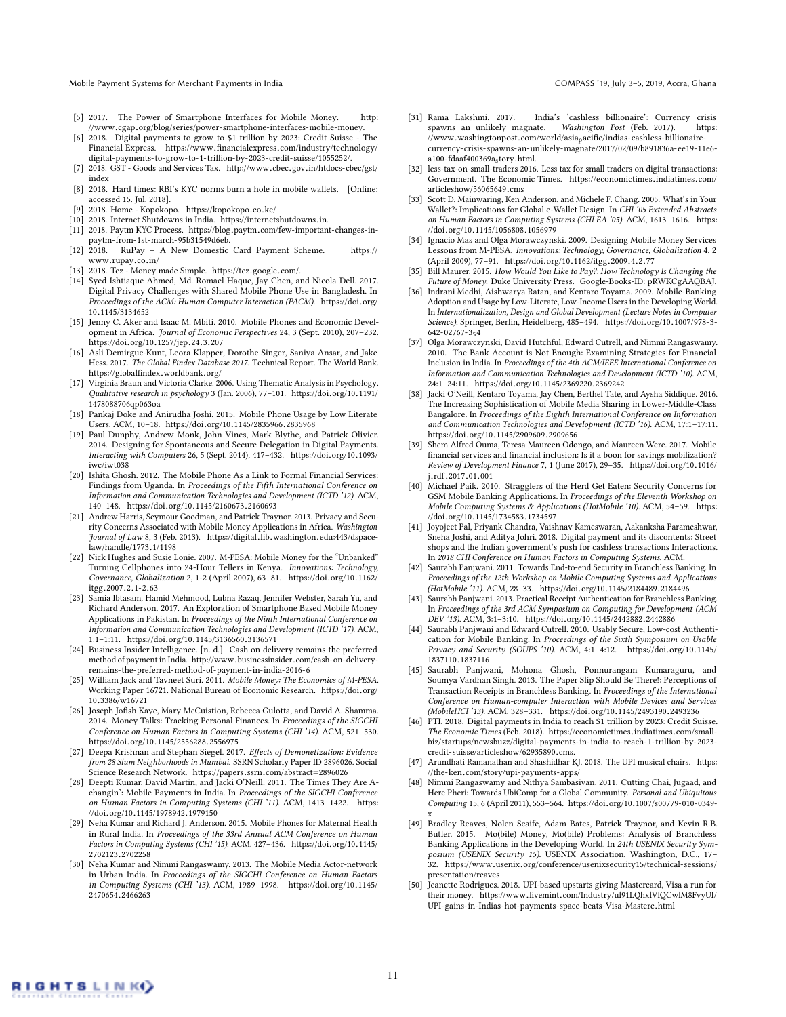Mobile Payment Systems for Merchant Payments in India COMPASS '19, July 3–5, 2019, Accra, Ghana

- <span id="page-10-24"></span>[5] 2017. The Power of Smartphone Interfaces for Mobile Money. [http:](http://www.cgap.org/blog/series/power-smartphone-interfaces-mobile-money) //www.cgap.[org/blog/series/power-smartphone-interfaces-mobile-money.](http://www.cgap.org/blog/series/power-smartphone-interfaces-mobile-money)
- <span id="page-10-8"></span>[6] 2018. Digital payments to grow to \$1 trillion by 2023: Credit Suisse - The Financial Express. https://www.financialexpress.[com/industry/technology/](https://www.financialexpress.com/industry/technology/digital-payments-to-grow-to-1-trillion-by-2023-credit-suisse/1055252/) [digital-payments-to-grow-to-1-trillion-by-2023-credit-suisse/1055252/.](https://www.financialexpress.com/industry/technology/digital-payments-to-grow-to-1-trillion-by-2023-credit-suisse/1055252/)
- <span id="page-10-35"></span>[7] 2018. GST - Goods and Services Tax. http://www.cbec.gov.[in/htdocs-cbec/gst/](http://www.cbec.gov.in/htdocs-cbec/gst/index) [index](http://www.cbec.gov.in/htdocs-cbec/gst/index)
- <span id="page-10-45"></span>[8] 2018. Hard times: RBI's KYC norms burn a hole in mobile wallets. [Online; accessed 15. Jul. 2018].
- <span id="page-10-42"></span>2018. Home - Kopokopo. [https://kopokopo](https://kopokopo.co.ke/).co.ke/
- <span id="page-10-34"></span>[10] 2018. Internet Shutdowns in India. [https://internetshutdowns](https://internetshutdowns.in).in.
- <span id="page-10-36"></span>[11] 2018. Paytm KYC Process. https://blog.paytm.[com/few-important-changes-in](https://blog.paytm.com/few-important-changes-in-paytm-from-1st-march-95b31549d6eb)[paytm-from-1st-march-95b31549d6eb.](https://blog.paytm.com/few-important-changes-in-paytm-from-1st-march-95b31549d6eb) [12] 2018. RuPay – A New Domestic Card Payment Scheme. [https://](https://www.rupay.co.in/)
- <span id="page-10-44"></span>www.[rupay](https://www.rupay.co.in/).co.in/
- <span id="page-10-6"></span>[13] 2018. Tez - Money made Simple. [https://tez](https://tez.google.com/).google.com/.
- <span id="page-10-37"></span>[14] Syed Ishtiaque Ahmed, Md. Romael Haque, Jay Chen, and Nicola Dell. 2017. Digital Privacy Challenges with Shared Mobile Phone Use in Bangladesh. In Proceedings of the ACM: Human Computer Interaction (PACM). [https://doi](https://doi.org/10.1145/3134652).org/<br>10.1145/3134652
- <span id="page-10-0"></span><sup>10</sup>.[1145/3134652](https://doi.org/10.1145/3134652) [15] Jenny C. Aker and Isaac M. Mbiti. 2010. Mobile Phones and Economic Development in Africa. Journal of Economic Perspectives 24, 3 (Sept. 2010), 207-232.<br>https://doi.org/10.1257/jep.24.3.207
- <span id="page-10-4"></span>[https://doi](https://doi.org/10.1257/jep.24.3.207).org/10.1257/jep.24.3.<sup>207</sup> [16] Asli Demirguc-Kunt, Leora Klapper, Dorothe Singer, Saniya Ansar, and Jake Hess. 2017. The Global Findex Database 2017. Technical Report. The World Bank. [https://globalfindex](https://globalfindex.worldbank.org/).worldbank.org/ [17] Virginia Braun and Victoria Clarke. 2006. Using Thematic Analysis in Psychology.
- <span id="page-10-32"></span>Qualitative research in psychology 3 (Jan. 2006), 77–101. [https://doi](https://doi.org/10.1191/1478088706qp063oa).org/10.1191/ [1478088706qp063oa](https://doi.org/10.1191/1478088706qp063oa)
- <span id="page-10-38"></span>[18] Pankaj Doke and Anirudha Joshi. 2015. Mobile Phone Usage by Low Literate Users. ACM, 10–18. https://doi.org/10.[1145/2835966](https://doi.org/10.1145/2835966.2835968).<sup>2835968</sup>
- <span id="page-10-26"></span>[19] Paul Dunphy, Andrew Monk, John Vines, Mark Blythe, and Patrick Olivier. 2014. Designing for Spontaneous and Secure Delegation in Digital Payments. Interacting with Computers 26, 5 (Sept. 2014), 417–432. [https://doi](https://doi.org/10.1093/iwc/iwt038).org/10.1093/ [iwc/iwt038](https://doi.org/10.1093/iwc/iwt038)
- <span id="page-10-12"></span>[20] Ishita Ghosh. 2012. The Mobile Phone As a Link to Formal Financial Services: Findings from Uganda. In Proceedings of the Fifth International Conference on Information and Communication Technologies and Development (ICTD '12). ACM, 140–148. https://doi.org/10.[1145/2160673](https://doi.org/10.1145/2160673.2160693).<sup>2160693</sup>
- <span id="page-10-16"></span>[21] Andrew Harris, Seymour Goodman, and Patrick Traynor. 2013. Privacy and Security Concerns Associated with Mobile Money Applications in Africa. Washington  $Journal of Law 8, 3 (Feb. 2013).$  https://digital.lib.washington.edu:443/dspace-law/handle/1773.1/1198
- <span id="page-10-1"></span>[law/handle/1773](https://digital.lib.washington.edu:443/dspace-law/handle/1773.1/1198).1/1198 [22] Nick Hughes and Susie Lonie. 2007. M-PESA: Mobile Money for the "Unbanked" Turning Cellphones into 24-Hour Tellers in Kenya. Innovations: Technology, Governance, Globalization 2, 1-2 (April 2007), 63–81. [https://doi](https://doi.org/10.1162/itgg.2007.2.1-2.63).org/10.1162/ itgg.[2007](https://doi.org/10.1162/itgg.2007.2.1-2.63).2.1-2.<sup>63</sup>
- <span id="page-10-23"></span>[23] Samia Ibtasam, Hamid Mehmood, Lubna Razaq, Jennifer Webster, Sarah Yu, and Richard Anderson. 2017. An Exploration of Smartphone Based Mobile Money Applications in Pakistan. In Proceedings of the Ninth International Conference on Information and Communication Technologies and Development (ICTD '17). ACM, 1:1–1:11. https://doi.org/10.[1145/3136560](https://doi.org/10.1145/3136560.3136571).<sup>3136571</sup>
- <span id="page-10-41"></span>[24] Business Insider Intelligence. [n. d.]. Cash on delivery remains the preferred method of payment in India. http://www.businessinsider.[com/cash-on-delivery](http://www.businessinsider.com/cash-on-delivery-remains-the-preferred-method-of-payment-in-india-2016-6)[remains-the-preferred-method-of-payment-in-india-2016-6](http://www.businessinsider.com/cash-on-delivery-remains-the-preferred-method-of-payment-in-india-2016-6)
- <span id="page-10-2"></span>[25] William Jack and Tavneet Suri. 2011. Mobile Money: The Economics of M-PESA. Working Paper 16721. National Bureau of Economic Research. [https://doi](https://doi.org/10.3386/w16721).org/ <sup>10</sup>.[3386/w16721](https://doi.org/10.3386/w16721)
- <span id="page-10-27"></span>[26] Joseph Jofish Kaye, Mary McCuistion, Rebecca Gulotta, and David A. Shamma. 2014. Money Talks: Tracking Personal Finances. In Proceedings of the SIGCHI Conference on Human Factors in Computing Systems (CHI '14). ACM, 521–530. https://doi.org/10.[1145/2556288](https://doi.org/10.1145/2556288.2556975).<sup>2556975</sup>
- <span id="page-10-25"></span>[27] Deepa Krishnan and Stephan Siegel. 2017. Effects of Demonetization: Evidence from 28 Slum Neighborhoods in Mumbai. SSRN Scholarly Paper ID 2896026. Social Science Research Network. [https://papers](https://papers.ssrn.com/abstract=2896026).ssrn.com/abstract=<sup>2896026</sup>
- <span id="page-10-10"></span>[28] Deepti Kumar, David Martin, and Jacki O'Neill. 2011. The Times They Are Achangin': Mobile Payments in India. In Proceedings of the SIGCHI Conference on Human Factors in Computing Systems (CHI '11). ACM, 1413–1422. [https:](https://doi.org/10.1145/1978942.1979150) //doi.org/10.[1145/1978942](https://doi.org/10.1145/1978942.1979150).<sup>1979150</sup>
- <span id="page-10-29"></span>[29] Neha Kumar and Richard J. Anderson. 2015. Mobile Phones for Maternal Health in Rural India. In Proceedings of the 33rd Annual ACM Conference on Human Factors in Computing Systems (CHI '15). ACM, 427–436. [https://doi](https://doi.org/10.1145/2702123.2702258).org/10.1145/
- <span id="page-10-30"></span>[2702123](https://doi.org/10.1145/2702123.2702258).<sup>2702258</sup> [30] Neha Kumar and Nimmi Rangaswamy. 2013. The Mobile Media Actor-network in Urban India. In Proceedings of the SIGCHI Conference on Human Factors in Computing Systems (CHI '13). ACM, 1989–1998. [https://doi](https://doi.org/10.1145/2470654.2466263).org/10.1145/ [2470654](https://doi.org/10.1145/2470654.2466263).<sup>2466263</sup>
- <span id="page-10-5"></span>[31] Rama Lakshmi. 2017. India's 'cashless billionaire': Currency crisis spawns an unlikely magnate. //www.washingtonpost.com/world/asiap[acific/indias-cashless-billionaire](https://www.washingtonpost.com/world/asia_pacific/indias-cashless-billionaire-currency-crisis-spawns-an-unlikely-magnate/2017/02/09/b891836a-ee19-11e6-a100-fdaaf400369a_story.html)[currency-crisis-spawns-an-unlikely-magnate/2017/02/09/b891836a-ee19-11e6](https://www.washingtonpost.com/world/asia_pacific/indias-cashless-billionaire-currency-crisis-spawns-an-unlikely-magnate/2017/02/09/b891836a-ee19-11e6-a100-fdaaf400369a_story.html) [a100-fdaaf400369a](https://www.washingtonpost.com/world/asia_pacific/indias-cashless-billionaire-currency-crisis-spawns-an-unlikely-magnate/2017/02/09/b891836a-ee19-11e6-a100-fdaaf400369a_story.html)story.html.
- <span id="page-10-43"></span>[32] less-tax-on-small-traders 2016. Less tax for small traders on digital transactions: Government. The Economic Times. [https://economictimes](https://economictimes.indiatimes.com/articleshow/56065649.cms).indiatimes.com/ [articleshow/56065649](https://economictimes.indiatimes.com/articleshow/56065649.cms).cms
- <span id="page-10-28"></span>[33] Scott D. Mainwaring, Ken Anderson, and Michele F. Chang. 2005. What's in Your Wallet?: Implications for Global e-Wallet Design. In CHI '05 Extended Abstracts on Human Factors in Computing Systems (CHI EA '05). ACM, 1613-1616. [https:](https://doi.org/10.1145/1056808.1056979)<br>//doi.org/10.1145/1056808.1056979
- <span id="page-10-15"></span>//doi.org/10.[1145/1056808](https://doi.org/10.1145/1056808.1056979).<sup>1056979</sup> [34] Ignacio Mas and Olga Morawczynski. 2009. Designing Mobile Money Services Lessons from M-PESA. Innovations: Technology, Governance, Globalization 4, 2 (April 2009), 77–91. [https://doi](https://doi.org/10.1162/itgg.2009.4.2.77).org/10.1162/itgg.2009.4.2.<sup>77</sup>
- <span id="page-10-40"></span>[35] Bill Maurer. 2015. How Would You Like to Pay?: How Technology Is Changing the Future of Money. Duke University Press. Google-Books-ID: pRWKCgAAQBAJ.
- <span id="page-10-13"></span>[36] Indrani Medhi, Aishwarya Ratan, and Kentaro Toyama. 2009. Mobile-Banking Adoption and Usage by Low-Literate, Low-Income Users in the Developing World. In Internationalization, Design and Global Development (Lecture Notes in Computer Science). Springer, Berlin, Heidelberg, 485–494. https://doi.org/10.[1007/978-3-](https://doi.org/10.1007/978-3-642-02767-3_54) [642-02767-3](https://doi.org/10.1007/978-3-642-02767-3_54)54
- <span id="page-10-22"></span>[37] Olga Morawczynski, David Hutchful, Edward Cutrell, and Nimmi Rangaswamy. 2010. The Bank Account is Not Enough: Examining Strategies for Financial Inclusion in India. In Proceedings of the 4th ACM/IEEE International Conference on Information and Communication Technologies and Development (ICTD '10). ACM, 24:1–24:11. https://doi.org/10.[1145/2369220](https://doi.org/10.1145/2369220.2369242).<sup>2369242</sup>
- <span id="page-10-31"></span>[38] Jacki O'Neill, Kentaro Toyama, Jay Chen, Berthel Tate, and Aysha Siddique. 2016. The Increasing Sophistication of Mobile Media Sharing in Lower-Middle-Class Bangalore. In Proceedings of the Eighth International Conference on Information and Communication Technologies and Development (ICTD '16). ACM, 17:1–17:11. https://doi.org/10.[1145/2909609](https://doi.org/10.1145/2909609.2909656).<sup>2909656</sup>
- <span id="page-10-3"></span>[39] Shem Alfred Ouma, Teresa Maureen Odongo, and Maureen Were. 2017. Mobile financial services and financial inclusion: Is it a boon for savings mobilization? Review of Development Finance 7, 1 (June 2017), 29–35. [https://doi](https://doi.org/10.1016/j.rdf.2017.01.001).org/10.1016/
- <span id="page-10-17"></span><sup>j</sup>.rdf.[2017](https://doi.org/10.1016/j.rdf.2017.01.001).01.<sup>001</sup> [40] Michael Paik. 2010. Stragglers of the Herd Get Eaten: Security Concerns for GSM Mobile Banking Applications. In Proceedings of the Eleventh Workshop on Mobile Computing Systems & Applications (HotMobile '10). ACM, 54–59. [https:](https://doi.org/10.1145/1734583.1734597) //doi.org/10.[1145/1734583](https://doi.org/10.1145/1734583.1734597).<sup>1734597</sup>
- <span id="page-10-11"></span>[41] Joyojeet Pal, Priyank Chandra, Vaishnav Kameswaran, Aakanksha Parameshwar, Sneha Joshi, and Aditya Johri. 2018. Digital payment and its discontents: Street shops and the Indian government's push for cashless transactions Interactions. In 2018 CHI Conference on Human Factors in Computing Systems. ACM.
- <span id="page-10-18"></span>[42] Saurabh Panjwani. 2011. Towards End-to-end Security in Branchless Banking. In Proceedings of the 12th Workshop on Mobile Computing Systems and Applications (HotMobile '11). ACM, 28–33. https://doi.org/10.[1145/2184489](https://doi.org/10.1145/2184489.2184496).<sup>2184496</sup>
- <span id="page-10-20"></span>[43] Saurabh Panjwani. 2013. Practical Receipt Authentication for Branchless Banking. In Proceedings of the 3rd ACM Symposium on Computing for Development (ACM DEV '13). ACM, 3:1–3:10. https://doi.org/10.[1145/2442882](https://doi.org/10.1145/2442882.2442886).<sup>2442886</sup>
- <span id="page-10-21"></span>[44] Saurabh Panjwani and Edward Cutrell. 2010. Usably Secure, Low-cost Authentication for Mobile Banking. In Proceedings of the Sixth Symposium on Usable Privacy and Security (SOUPS '10). ACM, 4:1–4:12. [https://doi](https://doi.org/10.1145/1837110.1837116).org/10.1145/ [1837110](https://doi.org/10.1145/1837110.1837116).<sup>1837116</sup> [45] Saurabh Panjwani, Mohona Ghosh, Ponnurangam Kumaraguru, and
- <span id="page-10-14"></span>Soumya Vardhan Singh. 2013. The Paper Slip Should Be There!: Perceptions of Transaction Receipts in Branchless Banking. In Proceedings of the International Conference on Human-computer Interaction with Mobile Devices and Services (MobileHCI '13). ACM, 328–331. https://doi.org/10.[1145/2493190](https://doi.org/10.1145/2493190.2493236).<sup>2493236</sup>
- <span id="page-10-7"></span>[46] PTI. 2018. Digital payments in India to reach \$1 trillion by 2023: Credit Suisse. The Economic Times (Feb. 2018). [https://economictimes](https://economictimes.indiatimes.com/small-biz/startups/newsbuzz/digital-payments-in-india-to-reach-1-trillion-by-2023-credit-suisse/articleshow/62935890.cms).indiatimes.com/small[biz/startups/newsbuzz/digital-payments-in-india-to-reach-1-trillion-by-2023](https://economictimes.indiatimes.com/small-biz/startups/newsbuzz/digital-payments-in-india-to-reach-1-trillion-by-2023-credit-suisse/articleshow/62935890.cms) [credit-suisse/articleshow/62935890](https://economictimes.indiatimes.com/small-biz/startups/newsbuzz/digital-payments-in-india-to-reach-1-trillion-by-2023-credit-suisse/articleshow/62935890.cms).cms. [47] Arundhati Ramanathan and Shashidhar KJ. 2018. The UPI musical chairs. [https:](https://the-ken.com/story/upi-payments-apps/)
- <span id="page-10-33"></span>//the-ken.[com/story/upi-payments-apps/](https://the-ken.com/story/upi-payments-apps/) [48] Nimmi Rangaswamy and Nithya Sambasivan. 2011. Cutting Chai, Jugaad, and
- <span id="page-10-39"></span>Here Pheri: Towards UbiComp for a Global Community. Personal and Ubiquitous Computing 15, 6 (April 2011), 553–564. https://doi.org/10.[1007/s00779-010-0349-](https://doi.org/10.1007/s00779-010-0349-x)
- <span id="page-10-19"></span>[x](https://doi.org/10.1007/s00779-010-0349-x) [49] Bradley Reaves, Nolen Scaife, Adam Bates, Patrick Traynor, and Kevin R.B. Butler. 2015. Mo(bile) Money, Mo(bile) Problems: Analysis of Branchless Banking Applications in the Developing World. In 24th USENIX Security Symposium (USENIX Security 15). USENIX Association, Washington, D.C., 17-32. https://www.usenix.[org/conference/usenixsecurity15/technical-sessions/](https://www.usenix.org/conference/usenixsecurity15/technical-sessions/presentation/reaves) [presentation/reaves](https://www.usenix.org/conference/usenixsecurity15/technical-sessions/presentation/reaves)
- <span id="page-10-9"></span>[50] Jeanette Rodrigues. 2018. UPI-based upstarts giving Mastercard, Visa a run for their money. https://www.livemint.[com/Industry/ul91LQhxlVlQCwlM8FvyUI/](https://www.livemint.com/Industry/ul91LQhxlVlQCwlM8FvyUI/UPI-gains-in-Indias-hot-payments-space-beats-Visa-Masterc.html) [UPI-gains-in-Indias-hot-payments-space-beats-Visa-Masterc](https://www.livemint.com/Industry/ul91LQhxlVlQCwlM8FvyUI/UPI-gains-in-Indias-hot-payments-space-beats-Visa-Masterc.html).html